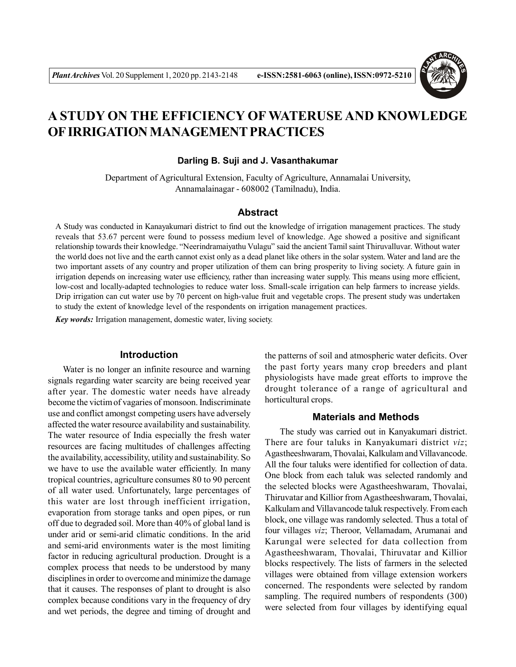

# **A STUDY ON THE EFFICIENCY OF WATERUSE AND KNOWLEDGE OF IRRIGATION MANAGEMENT PRACTICES**

#### **Darling B. Suji and J. Vasanthakumar**

Department of Agricultural Extension, Faculty of Agriculture, Annamalai University, Annamalainagar - 608002 (Tamilnadu), India.

## **Abstract**

A Study was conducted in Kanayakumari district to find out the knowledge of irrigation management practices. The study reveals that 53.67 percent were found to possess medium level of knowledge. Age showed a positive and significant relationship towards their knowledge. "Neerindramaiyathu Vulagu" said the ancient Tamil saint Thiruvalluvar. Without water the world does not live and the earth cannot exist only as a dead planet like others in the solar system. Water and land are the two important assets of any country and proper utilization of them can bring prosperity to living society. A future gain in irrigation depends on increasing water use efficiency, rather than increasing water supply. This means using more efficient, low-cost and locally-adapted technologies to reduce water loss. Small-scale irrigation can help farmers to increase yields. Drip irrigation can cut water use by 70 percent on high-value fruit and vegetable crops. The present study was undertaken to study the extent of knowledge level of the respondents on irrigation management practices.

*Key words:* Irrigation management, domestic water, living society.

## **Introduction**

Water is no longer an infinite resource and warning signals regarding water scarcity are being received year after year. The domestic water needs have already become the victim of vagaries of monsoon. Indiscriminate use and conflict amongst competing users have adversely affected the water resource availability and sustainability. The water resource of India especially the fresh water resources are facing multitudes of challenges affecting the availability, accessibility, utility and sustainability. So we have to use the available water efficiently. In many tropical countries, agriculture consumes 80 to 90 percent of all water used. Unfortunately, large percentages of this water are lost through inefficient irrigation, evaporation from storage tanks and open pipes, or run off due to degraded soil. More than 40% of global land is under arid or semi-arid climatic conditions. In the arid and semi-arid environments water is the most limiting factor in reducing agricultural production. Drought is a complex process that needs to be understood by many disciplines in order to overcome and minimize the damage that it causes. The responses of plant to drought is also complex because conditions vary in the frequency of dry and wet periods, the degree and timing of drought and the patterns of soil and atmospheric water deficits. Over the past forty years many crop breeders and plant physiologists have made great efforts to improve the drought tolerance of a range of agricultural and horticultural crops.

# **Materials and Methods**

The study was carried out in Kanyakumari district. There are four taluks in Kanyakumari district *viz*; Agastheeshwaram, Thovalai, Kalkulam and Villavancode. All the four taluks were identified for collection of data. One block from each taluk was selected randomly and the selected blocks were Agastheeshwaram, Thovalai, Thiruvatar and Killior from Agastheeshwaram, Thovalai, Kalkulam and Villavancode taluk respectively. From each block, one village was randomly selected. Thus a total of four villages *viz*; Theroor, Vellamadam, Arumanai and Karungal were selected for data collection from Agastheeshwaram, Thovalai, Thiruvatar and Killior blocks respectively. The lists of farmers in the selected villages were obtained from village extension workers concerned. The respondents were selected by random sampling. The required numbers of respondents (300) were selected from four villages by identifying equal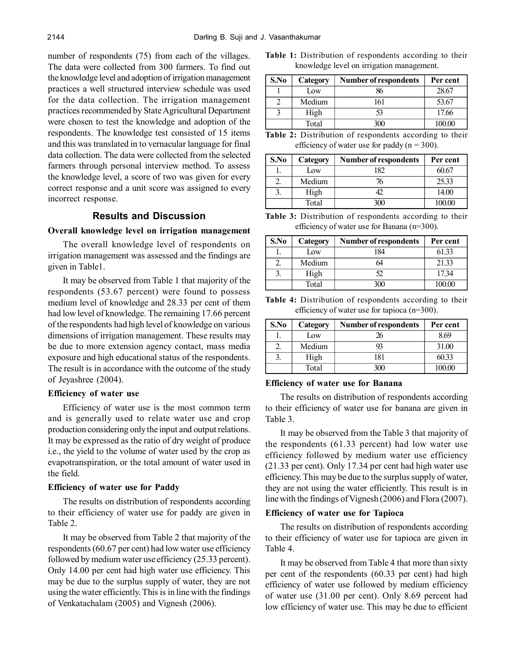number of respondents (75) from each of the villages. The data were collected from 300 farmers. To find out the knowledge level and adoption of irrigation management practices a well structured interview schedule was used for the data collection. The irrigation management practices recommended by State Agricultural Department were chosen to test the knowledge and adoption of the respondents. The knowledge test consisted of 15 items and this was translated in to vernacular language for final data collection. The data were collected from the selected farmers through personal interview method. To assess the knowledge level, a score of two was given for every correct response and a unit score was assigned to every incorrect response.

# **Results and Discussion**

### **Overall knowledge level on irrigation management**

The overall knowledge level of respondents on irrigation management was assessed and the findings are given in Table1.

It may be observed from Table 1 that majority of the respondents (53.67 percent) were found to possess medium level of knowledge and 28.33 per cent of them had low level of knowledge. The remaining 17.66 percent of the respondents had high level of knowledge on various dimensions of irrigation management. These results may be due to more extension agency contact, mass media exposure and high educational status of the respondents. The result is in accordance with the outcome of the study of Jeyashree (2004).

# **Efficiency of water use**

Efficiency of water use is the most common term and is generally used to relate water use and crop production considering only the input and output relations. It may be expressed as the ratio of dry weight of produce i.e., the yield to the volume of water used by the crop as evapotranspiration, or the total amount of water used in the field.

#### **Efficiency of water use for Paddy**

The results on distribution of respondents according to their efficiency of water use for paddy are given in Table 2.

It may be observed from Table 2 that majority of the respondents (60.67 per cent) had low water use efficiency followed by medium water use efficiency (25.33 percent). Only 14.00 per cent had high water use efficiency. This may be due to the surplus supply of water, they are not using the water efficiently. This is in line with the findings of Venkatachalam (2005) and Vignesh (2006).

**Table 1:** Distribution of respondents according to their knowledge level on irrigation management.

| S.No | Category | Number of respondents | Per cent |
|------|----------|-----------------------|----------|
|      | Low      | 86                    | 28.67    |
|      | Medium   | 161                   | 53.67    |
| 3    | High     | 53                    | 17.66    |
|      | Total    | 300                   | 100.00   |

**Table 2:** Distribution of respondents according to their efficiency of water use for paddy ( $n = 300$ ).

| S.No | Category | Number of respondents | Per cent |
|------|----------|-----------------------|----------|
|      | Low      | 182                   | 60.67    |
|      | Medium   | 76                    | 25.33    |
| 2    | High     | 42                    | 14.00    |
|      | Total    |                       | 100.00   |

**Table 3:** Distribution of respondents according to their efficiency of water use for Banana (n=300).

| S.No | Category | <b>Number of respondents</b> | Per cent |
|------|----------|------------------------------|----------|
|      | Low      | 184                          | 61.33    |
|      | Medium   |                              | 21.33    |
|      | High     | 52                           | 17.34    |
|      | Total    | 300                          | 100.00   |

**Table 4:** Distribution of respondents according to their efficiency of water use for tapioca (n=300).

| S.No | Category | Number of respondents | Per cent |
|------|----------|-----------------------|----------|
|      | Low      | 26                    | 8.69     |
|      | Medium   |                       | 31.00    |
|      | High     | 181                   | 60.33    |
|      | Fotal    |                       | 100.00   |

#### **Efficiency of water use for Banana**

The results on distribution of respondents according to their efficiency of water use for banana are given in Table 3.

It may be observed from the Table 3 that majority of the respondents (61.33 percent) had low water use efficiency followed by medium water use efficiency (21.33 per cent). Only 17.34 per cent had high water use efficiency. This may be due to the surplus supply of water, they are not using the water efficiently. This result is in line with the findings of Vignesh (2006) and Flora (2007).

### **Efficiency of water use for Tapioca**

The results on distribution of respondents according to their efficiency of water use for tapioca are given in Table 4.

It may be observed from Table 4 that more than sixty per cent of the respondents (60.33 per cent) had high efficiency of water use followed by medium efficiency of water use (31.00 per cent). Only 8.69 percent had low efficiency of water use. This may be due to efficient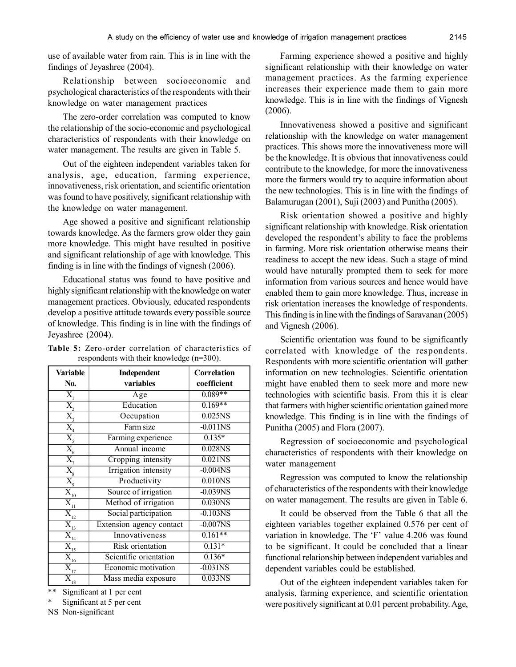use of available water from rain. This is in line with the findings of Jeyashree (2004).

Relationship between socioeconomic and psychological characteristics of the respondents with their knowledge on water management practices

The zero-order correlation was computed to know the relationship of the socio-economic and psychological characteristics of respondents with their knowledge on water management. The results are given in Table 5.

Out of the eighteen independent variables taken for analysis, age, education, farming experience, innovativeness, risk orientation, and scientific orientation was found to have positively, significant relationship with the knowledge on water management.

Age showed a positive and significant relationship towards knowledge. As the farmers grow older they gain more knowledge. This might have resulted in positive and significant relationship of age with knowledge. This finding is in line with the findings of vignesh (2006).

Educational status was found to have positive and highly significant relationship with the knowledge on water management practices. Obviously, educated respondents develop a positive attitude towards every possible source of knowledge. This finding is in line with the findings of Jeyashree (2004).

| <b>Variable</b>                                                                                                               | Independent                 | <b>Correlation</b>    |
|-------------------------------------------------------------------------------------------------------------------------------|-----------------------------|-----------------------|
| N <sub>0</sub> .                                                                                                              | variables                   | coefficient           |
| $\overline{X_{i}}$                                                                                                            | Age                         | $0.089**$             |
| $\overline{X_{2}}$                                                                                                            | Education                   | $0.169**$             |
|                                                                                                                               | Occupation                  | $0.025$ NS            |
|                                                                                                                               | Farm size                   | $-0.011$ NS           |
|                                                                                                                               | Farming experience          | $0.135*$              |
| $\frac{\overline{X}_3}{\overline{X}_4}$<br>$\frac{\overline{X}_4}{\overline{X}_5}$<br>$\frac{\overline{X}_5}{\overline{X}_7}$ | Annual income               | 0.028NS               |
|                                                                                                                               | Cropping intensity          | $0.021$ <sub>NS</sub> |
| $\overline{X_s}$<br>$\overline{X_9}$                                                                                          | <b>Irrigation</b> intensity | $-0.004$ NS           |
|                                                                                                                               | Productivity                | 0.010NS               |
| $\overline{\mathbf{X}}_{\hspace{-0.5pt}\underline{10}}$                                                                       | Source of irrigation        | $-0.039NS$            |
| $\overline{X_{11}}$                                                                                                           | Method of irrigation        | $0.030$ NS            |
| $\overline{X}_{\underline{12}}$                                                                                               | Social participation        | $-0.103NS$            |
| $X_{13}$                                                                                                                      | Extension agency contact    | $-0.007NS$            |
| $\overline{X_{_{\underline{14}}}}$                                                                                            | Innovativeness              | $0.161**$             |
| $\overline{X}_{\underline{15}}$                                                                                               | <b>Risk</b> orientation     | $0.131*$              |
| $\overline{\mathbf{X}}_{\underline{16}}$                                                                                      | Scientific orientation      | $0.136*$              |
| $\overline{X}_{17}$                                                                                                           | Economic motivation         | $-0.031$ NS           |
| $\tilde{X}_{_{18}}$                                                                                                           | Mass media exposure         | 0.033NS               |

**Table 5:** Zero-order correlation of characteristics of respondents with their knowledge (n=300).

Significant at 1 per cent

Significant at 5 per cent

NS Non-significant

Farming experience showed a positive and highly significant relationship with their knowledge on water management practices. As the farming experience increases their experience made them to gain more knowledge. This is in line with the findings of Vignesh (2006).

Innovativeness showed a positive and significant relationship with the knowledge on water management practices. This shows more the innovativeness more will be the knowledge. It is obvious that innovativeness could contribute to the knowledge, for more the innovativeness more the farmers would try to acquire information about the new technologies. This is in line with the findings of Balamurugan (2001), Suji (2003) and Punitha (2005).

Risk orientation showed a positive and highly significant relationship with knowledge. Risk orientation developed the respondent's ability to face the problems in farming. More risk orientation otherwise means their readiness to accept the new ideas. Such a stage of mind would have naturally prompted them to seek for more information from various sources and hence would have enabled them to gain more knowledge. Thus, increase in risk orientation increases the knowledge of respondents. This finding is in line with the findings of Saravanan (2005) and Vignesh (2006).

Scientific orientation was found to be significantly correlated with knowledge of the respondents. Respondents with more scientific orientation will gather information on new technologies. Scientific orientation might have enabled them to seek more and more new technologies with scientific basis. From this it is clear that farmers with higher scientific orientation gained more knowledge. This finding is in line with the findings of Punitha (2005) and Flora (2007).

Regression of socioeconomic and psychological characteristics of respondents with their knowledge on water management

Regression was computed to know the relationship of characteristics of the respondents with their knowledge on water management. The results are given in Table 6.

It could be observed from the Table 6 that all the eighteen variables together explained 0.576 per cent of variation in knowledge. The 'F' value 4.206 was found to be significant. It could be concluded that a linear functional relationship between independent variables and dependent variables could be established.

Out of the eighteen independent variables taken for analysis, farming experience, and scientific orientation were positively significant at 0.01 percent probability. Age,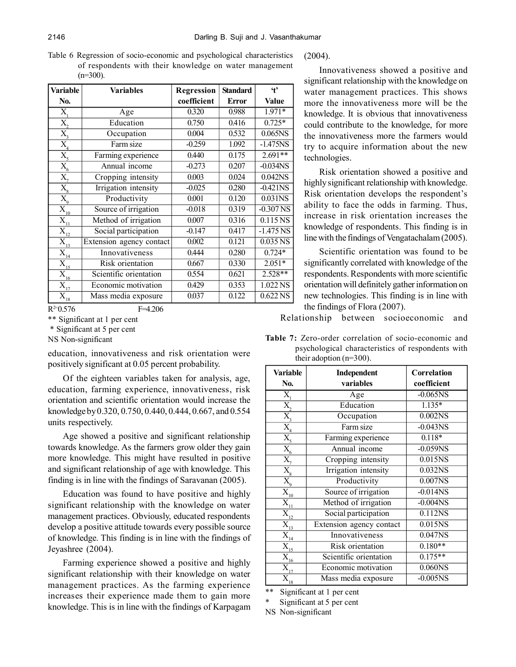Table 6 Regression of socio-economic and psychological characteristics of respondents with their knowledge on water management  $(n=300)$ .

| <b>Variable</b>                             | <b>Variables</b>         | Regression  | <b>Standard</b> | $\mathbf{t}$                |
|---------------------------------------------|--------------------------|-------------|-----------------|-----------------------------|
| No.                                         |                          | coefficient | <b>Error</b>    | <b>Value</b>                |
| Х,                                          | Age                      | 0.320       | 0.988           | 1.971*                      |
| X,                                          | Education                | 0.750       | 0.416           | $0.725*$                    |
| $\overline{X_{i}}$                          | Occupation               | 0.004       | 0.532           | 0.065NS                     |
| $X_{4}$                                     | Farm size                | $-0.259$    | 1.092           | $-1.475NS$                  |
| $\overline{X_{\varsigma}}$                  | Farming experience       | 0.440       | 0.175           | $2.691**$                   |
| $\overline{X_{6}}$                          | Annual income            | $-0.273$    | 0.207           | $-0.03\overline{4NS}$       |
| $\overline{X_{7}}$                          | Cropping intensity       | 0.003       | 0.024           | 0.042NS                     |
| $\overline{X_{8}}$                          | Irrigation intensity     | $-0.025$    | 0.280           | $-0.421$ NS                 |
| $\overline{X_{q}}$                          | Productivity             | 0.001       | 0.120           | $0.031\overline{\text{NS}}$ |
| $\overline{\mathbf{X}}_{\underline{10}}$    | Source of irrigation     | $-0.018$    | 0.319           | $-0.307NS$                  |
| $X_{11}$                                    | Method of irrigation     | 0.007       | 0.316           | 0.115 NS                    |
| $\bar{\textbf{X}}_{\underline{12}}$         | Social participation     | $-0.147$    | 0.417           | $-1.475$ NS                 |
| $\overline{\mathbf{X}}_{\underline{13}}$    | Extension agency contact | 0.002       | 0.121           | 0.035 NS                    |
| $\overline{X}_{\underline{i}\underline{4}}$ | Innovativeness           | 0.444       | 0.280           | $0.724*$                    |
| $\overline{\mathrm{X}}_{\underline{15}}$    | Risk orientation         | 0.667       | 0.330           | $2.051*$                    |
| $\bar{X}_{16}$                              | Scientific orientation   | 0.554       | 0.621           | $2.528**$                   |
| $X_{17}$                                    | Economic motivation      | 0.429       | 0.353           | 1.022 NS                    |
| $\mathbf{\tilde{X}}_{18}$                   | Mass media exposure      | 0.037       | 0.122           | 0.622 NS                    |

 $R^{2=}0.576$ 

F=4.206

\*\* Significant at 1 per cent

\* Significant at 5 per cent

NS Non-significant

education, innovativeness and risk orientation were positively significant at 0.05 percent probability.

Of the eighteen variables taken for analysis, age, education, farming experience, innovativeness, risk orientation and scientific orientation would increase the knowledge by 0.320, 0.750, 0.440, 0.444, 0.667, and 0.554 units respectively.

Age showed a positive and significant relationship towards knowledge. As the farmers grow older they gain more knowledge. This might have resulted in positive and significant relationship of age with knowledge. This finding is in line with the findings of Saravanan (2005).

Education was found to have positive and highly significant relationship with the knowledge on water management practices. Obviously, educated respondents develop a positive attitude towards every possible source of knowledge. This finding is in line with the findings of Jeyashree (2004).

Farming experience showed a positive and highly significant relationship with their knowledge on water management practices. As the farming experience increases their experience made them to gain more knowledge. This is in line with the findings of Karpagam (2004).

Innovativeness showed a positive and significant relationship with the knowledge on water management practices. This shows more the innovativeness more will be the knowledge. It is obvious that innovativeness could contribute to the knowledge, for more the innovativeness more the farmers would try to acquire information about the new technologies.

Risk orientation showed a positive and highly significant relationship with knowledge. Risk orientation develops the respondent's ability to face the odds in farming. Thus, increase in risk orientation increases the knowledge of respondents. This finding is in line with the findings of Vengatachalam (2005).

Scientific orientation was found to be significantly correlated with knowledge of the respondents. Respondents with more scientific orientation will definitely gather information on new technologies. This finding is in line with the findings of Flora (2007).

Relationship between socioeconomic and

**Table 7:** Zero-order correlation of socio-economic and psychological characteristics of respondents with their adoption (n=300).

| Variable<br>No.                                                                                       | Independent<br>variables    | Correlation<br>coefficient |
|-------------------------------------------------------------------------------------------------------|-----------------------------|----------------------------|
|                                                                                                       | Age                         | $-0.065$ NS                |
| $\overline{X}_{1}$                                                                                    |                             |                            |
|                                                                                                       | Education                   | $1.135*$                   |
|                                                                                                       | Occupation                  | $0.002$ NS                 |
|                                                                                                       | Farm size                   | $-0.043$ <sub>NS</sub>     |
| $\frac{X_2}{X_3}$<br>$\frac{X_3}{X_4}$<br>$\frac{X_5}{X_6}$<br>$\frac{X_6}{X_7}$<br>$\frac{X_8}{X_8}$ | Farming experience          | $0.118*$                   |
|                                                                                                       | Annual income               | $-0.059NS$                 |
|                                                                                                       | Cropping intensity          | $0.015$ NS                 |
|                                                                                                       | <b>Irrigation</b> intensity | 0.032NS                    |
|                                                                                                       | Productivity                | $0.007$ NS                 |
| $\overline{\mathbf{X}}_{\hspace{-0.5pt}\underline{10}}$                                               | Source of irrigation        | $-0.014$ <sub>NS</sub>     |
| $\overline{X_{11}}$                                                                                   | Method of irrigation        | $-0.004$ <sub>NS</sub>     |
| $\overline{X_{\underline{12}}}$                                                                       | Social participation        | 0.112NS                    |
| $\overline{\mathbf{X}_{_{13}}}$                                                                       | Extension agency contact    | $0.015$ NS                 |
|                                                                                                       | Innovativeness              | $0.047$ NS                 |
| $\frac{X_{14}}{X_{15}}$                                                                               | <b>Risk</b> orientation     | $0.180**$                  |
| $\overline{X_{_{16}}}$                                                                                | Scientific orientation      | $0.175**$                  |
| $\bar{\textbf{X}}_{\underline{17}}$                                                                   | Economic motivation         | 0.060NS                    |
| $\bar{\textbf{X}}_{\text{18}}$                                                                        | Mass media exposure         | $-0.005$ NS                |

\*\* Significant at 1 per cent

Significant at 5 per cent

NS Non-significant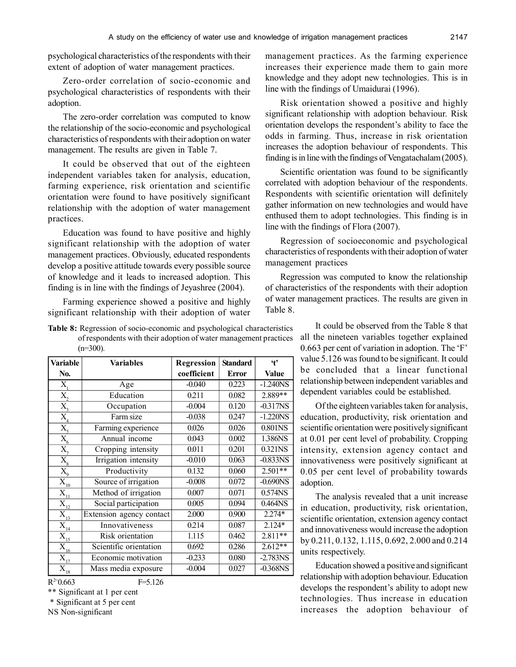psychological characteristics of the respondents with their extent of adoption of water management practices.

Zero-order correlation of socio-economic and psychological characteristics of respondents with their adoption.

The zero-order correlation was computed to know the relationship of the socio-economic and psychological characteristics of respondents with their adoption on water management. The results are given in Table 7.

It could be observed that out of the eighteen independent variables taken for analysis, education, farming experience, risk orientation and scientific orientation were found to have positively significant relationship with the adoption of water management practices.

Education was found to have positive and highly significant relationship with the adoption of water management practices. Obviously, educated respondents develop a positive attitude towards every possible source of knowledge and it leads to increased adoption. This finding is in line with the findings of Jeyashree (2004).

Farming experience showed a positive and highly significant relationship with their adoption of water

| <b>Table 8:</b> Regression of socio-economic and psychological characteristics |
|--------------------------------------------------------------------------------|
| of respondents with their adoption of water management practices               |
| $(n=300)$ .                                                                    |

| <b>Variable</b>                          | <b>Variables</b>         | Regression  | <b>Standard</b> | $\ddot{\mathbf{t}}$    |
|------------------------------------------|--------------------------|-------------|-----------------|------------------------|
| No.                                      |                          | coefficient | <b>Error</b>    | <b>Value</b>           |
| X,                                       | Age                      | $-0.040$    | 0.223           | $-1.240$ NS            |
| $\overline{X}_{2}$                       | Education                | 0.211       | 0.082           | 2.889**                |
| $\overline{X_{3}}$                       | Occupation               | $-0.004$    | 0.120           | $-0.317N\overline{S}$  |
| X <sub>4</sub>                           | Farm size                | $-0.038$    | 0.247           | $-1.220NS$             |
| $\overline{X_{5}}$                       | Farming experience       | 0.026       | 0.026           | 0.801NS                |
| $\overline{X_{6}}$                       | Annual income            | 0.043       | 0.002           | 1.386NS                |
| $\overline{\mathrm{X}}_{7}$              | Cropping intensity       | 0.011       | 0.201           | 0.321NS                |
| $\overline{X_{8}}$                       | Irrigation intensity     | $-0.010$    | 0.063           | $-0.833$ NS            |
| $\overline{X_{\scriptscriptstyle 0}}$    | Productivity             | 0.132       | 0.060           | $2.501**$              |
| $\overline{\mathbf{X}}_{\underline{10}}$ | Source of irrigation     | $-0.008$    | 0.072           | $-0.690$ <sub>NS</sub> |
| $\overline{X}_{11}$                      | Method of irrigation     | 0.007       | 0.071           | 0.574NS                |
| $\bar{X}_{12}$                           | Social participation     | 0.005       | 0.094           | 0.464NS                |
| $\overline{\mathrm{X}}_{\underline{13}}$ | Extension agency contact | 2.000       | 0.900           | $2.274*$               |
| $\bar{X}_{\underline{14}}$               | Innovativeness           | 0.214       | 0.087           | 2.124*                 |
| $\overline{X}_{15}$                      | Risk orientation         | 1.115       | 0.462           | $2.811**$              |
| $\bar{\textbf{X}}_{\underline{16}}$      | Scientific orientation   | 0.692       | 0.286           | $2.612**$              |
| $\overline{X}_{12}$                      | Economic motivation      | $-0.233$    | 0.080           | $-2.783NS$             |
| $\mathbf{X}_{_{18}}$                     | Mass media exposure      | $-0.004$    | 0.027           | $-0.368$ NS            |
| $R^{2=0.663}$                            | $F = 5.126$              |             |                 |                        |

 $R^{2=0.663}$ 

\*\* Significant at 1 per cent

\* Significant at 5 per cent

NS Non-significant

management practices. As the farming experience increases their experience made them to gain more knowledge and they adopt new technologies. This is in line with the findings of Umaidurai (1996).

Risk orientation showed a positive and highly significant relationship with adoption behaviour. Risk orientation develops the respondent's ability to face the odds in farming. Thus, increase in risk orientation increases the adoption behaviour of respondents. This finding is in line with the findings of Vengatachalam (2005).

Scientific orientation was found to be significantly correlated with adoption behaviour of the respondents. Respondents with scientific orientation will definitely gather information on new technologies and would have enthused them to adopt technologies. This finding is in line with the findings of Flora (2007).

Regression of socioeconomic and psychological characteristics of respondents with their adoption of water management practices

Regression was computed to know the relationship of characteristics of the respondents with their adoption of water management practices. The results are given in Table 8.

> It could be observed from the Table 8 that all the nineteen variables together explained 0.663 per cent of variation in adoption. The 'F' value 5.126 was found to be significant. It could be concluded that a linear functional relationship between independent variables and dependent variables could be established.

> Of the eighteen variables taken for analysis, education, productivity, risk orientation and scientific orientation were positively significant at 0.01 per cent level of probability. Cropping intensity, extension agency contact and innovativeness were positively significant at 0.05 per cent level of probability towards adoption.

> The analysis revealed that a unit increase in education, productivity, risk orientation, scientific orientation, extension agency contact and innovativeness would increase the adoption by 0.211, 0.132, 1.115, 0.692, 2.000 and 0.214 units respectively.

> Education showed a positive and significant relationship with adoption behaviour. Education develops the respondent's ability to adopt new technologies. Thus increase in education increases the adoption behaviour of